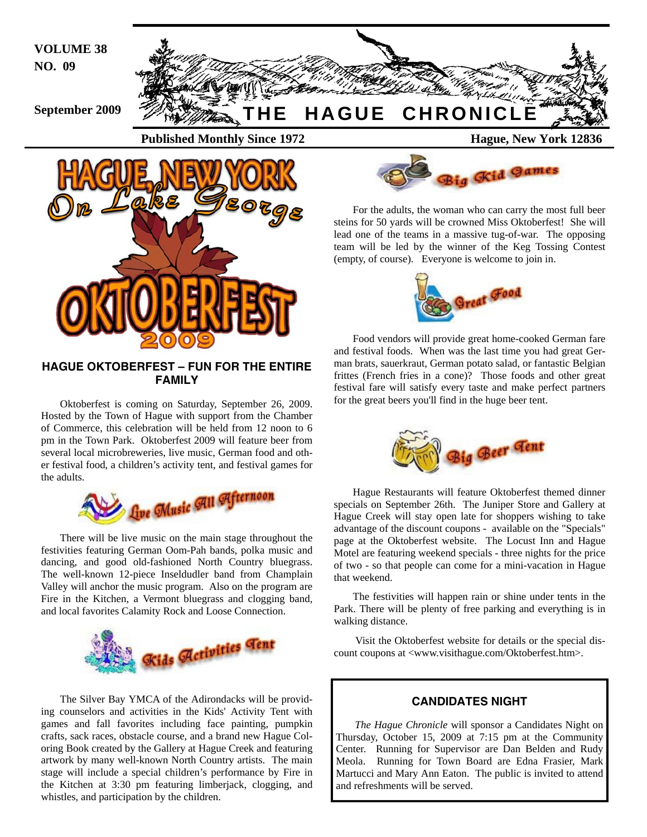**VOLUME 38 NO. 09** 





## **HAGUE OKTOBERFEST – FUN FOR THE ENTIRE FAMILY**

Oktoberfest is coming on Saturday, September 26, 2009. Hosted by the Town of Hague with support from the Chamber of Commerce, this celebration will be held from 12 noon to 6 pm in the Town Park. Oktoberfest 2009 will feature beer from several local microbreweries, live music, German food and other festival food, a children's activity tent, and festival games for the adults.



There will be live music on the main stage throughout the festivities featuring German Oom-Pah bands, polka music and dancing, and good old-fashioned North Country bluegrass. The well-known 12-piece Inseldudler band from Champlain Valley will anchor the music program. Also on the program are Fire in the Kitchen, a Vermont bluegrass and clogging band, and local favorites Calamity Rock and Loose Connection.



The Silver Bay YMCA of the Adirondacks will be providing counselors and activities in the Kids' Activity Tent with games and fall favorites including face painting, pumpkin crafts, sack races, obstacle course, and a brand new Hague Coloring Book created by the Gallery at Hague Creek and featuring artwork by many well-known North Country artists. The main stage will include a special children's performance by Fire in the Kitchen at 3:30 pm featuring limberjack, clogging, and whistles, and participation by the children.



For the adults, the woman who can carry the most full beer steins for 50 yards will be crowned Miss Oktoberfest! She will lead one of the teams in a massive tug-of-war. The opposing team will be led by the winner of the Keg Tossing Contest (empty, of course). Everyone is welcome to join in.



Food vendors will provide great home-cooked German fare and festival foods. When was the last time you had great German brats, sauerkraut, German potato salad, or fantastic Belgian frittes (French fries in a cone)? Those foods and other great festival fare will satisfy every taste and make perfect partners for the great beers you'll find in the huge beer tent.



Hague Restaurants will feature Oktoberfest themed dinner specials on September 26th. The Juniper Store and Gallery at Hague Creek will stay open late for shoppers wishing to take advantage of the discount coupons - available on the "Specials" page at the Oktoberfest website. The Locust Inn and Hague Motel are featuring weekend specials - three nights for the price of two - so that people can come for a mini-vacation in Hague that weekend.

The festivities will happen rain or shine under tents in the Park. There will be plenty of free parking and everything is in walking distance.

 Visit the Oktoberfest website for details or the special discount coupons at <www.visithague.com/Oktoberfest.htm>.

## **CANDIDATES NIGHT**

*The Hague Chronicle* will sponsor a Candidates Night on Thursday, October 15, 2009 at 7:15 pm at the Community Center. Running for Supervisor are Dan Belden and Rudy Meola. Running for Town Board are Edna Frasier, Mark Martucci and Mary Ann Eaton. The public is invited to attend and refreshments will be served.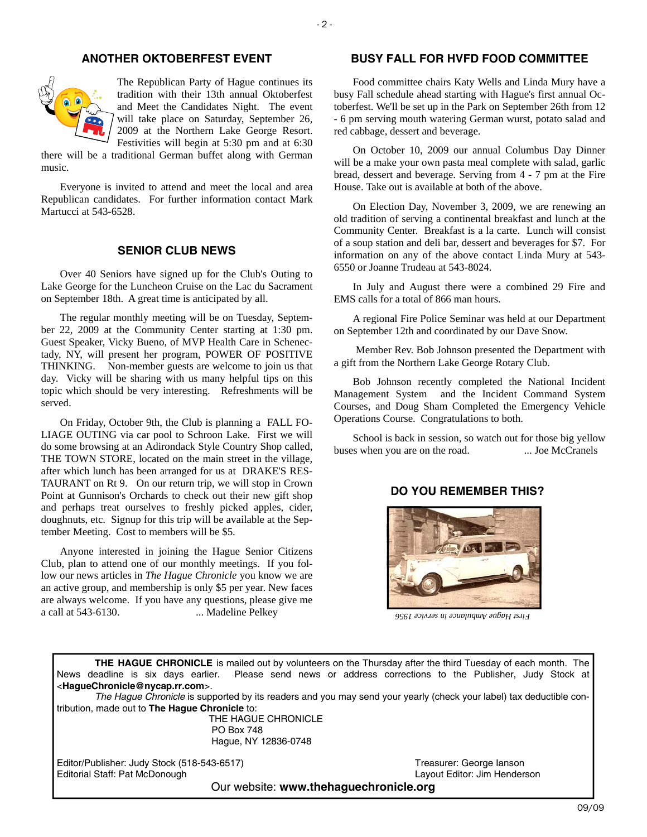## **ANOTHER OKTOBERFEST EVENT**



The Republican Party of Hague continues its tradition with their 13th annual Oktoberfest and Meet the Candidates Night. The event will take place on Saturday, September 26, 2009 at the Northern Lake George Resort. Festivities will begin at 5:30 pm and at 6:30

there will be a traditional German buffet along with German music.

Everyone is invited to attend and meet the local and area Republican candidates. For further information contact Mark Martucci at 543-6528.

## **SENIOR CLUB NEWS**

Over 40 Seniors have signed up for the Club's Outing to Lake George for the Luncheon Cruise on the Lac du Sacrament on September 18th. A great time is anticipated by all.

The regular monthly meeting will be on Tuesday, September 22, 2009 at the Community Center starting at 1:30 pm. Guest Speaker, Vicky Bueno, of MVP Health Care in Schenectady, NY, will present her program, POWER OF POSITIVE THINKING. Non-member guests are welcome to join us that day. Vicky will be sharing with us many helpful tips on this topic which should be very interesting. Refreshments will be served.

On Friday, October 9th, the Club is planning a FALL FO-LIAGE OUTING via car pool to Schroon Lake. First we will do some browsing at an Adirondack Style Country Shop called, THE TOWN STORE, located on the main street in the village, after which lunch has been arranged for us at DRAKE'S RES-TAURANT on Rt 9. On our return trip, we will stop in Crown Point at Gunnison's Orchards to check out their new gift shop and perhaps treat ourselves to freshly picked apples, cider, doughnuts, etc. Signup for this trip will be available at the September Meeting. Cost to members will be \$5.

Anyone interested in joining the Hague Senior Citizens Club, plan to attend one of our monthly meetings. If you follow our news articles in *The Hague Chronicle* you know we are an active group, and membership is only \$5 per year. New faces are always welcome. If you have any questions, please give me a call at 543-6130. ... Madeline Pelkey

## **BUSY FALL FOR HVFD FOOD COMMITTEE**

Food committee chairs Katy Wells and Linda Mury have a busy Fall schedule ahead starting with Hague's first annual Octoberfest. We'll be set up in the Park on September 26th from 12 - 6 pm serving mouth watering German wurst, potato salad and red cabbage, dessert and beverage.

On October 10, 2009 our annual Columbus Day Dinner will be a make your own pasta meal complete with salad, garlic bread, dessert and beverage. Serving from 4 - 7 pm at the Fire House. Take out is available at both of the above.

On Election Day, November 3, 2009, we are renewing an old tradition of serving a continental breakfast and lunch at the Community Center. Breakfast is a la carte. Lunch will consist of a soup station and deli bar, dessert and beverages for \$7. For information on any of the above contact Linda Mury at 543- 6550 or Joanne Trudeau at 543-8024.

In July and August there were a combined 29 Fire and EMS calls for a total of 866 man hours.

A regional Fire Police Seminar was held at our Department on September 12th and coordinated by our Dave Snow.

 Member Rev. Bob Johnson presented the Department with a gift from the Northern Lake George Rotary Club.

Bob Johnson recently completed the National Incident Management System and the Incident Command System Courses, and Doug Sham Completed the Emergency Vehicle Operations Course. Congratulations to both.

School is back in session, so watch out for those big yellow buses when you are on the road. ... Joe McCranels

## **DO YOU REMEMBER THIS?**



*First Hague Ambulance in service 1956* 

**THE HAGUE CHRONICLE** is mailed out by volunteers on the Thursday after the third Tuesday of each month. The News deadline is six days earlier. Please send news or address corrections to the Publisher, Judy Stock at <**HagueChronicle@nycap.rr.com**>.

*The Hague Chronicle* is supported by its readers and you may send your yearly (check your label) tax deductible contribution, made out to **The Hague Chronicle** to:

> THE HAGUE CHRONICLE PO Box 748 Hague, NY 12836-0748

Editor/Publisher: Judy Stock (518-543-6517)<br>
Editorial Staff: Pat McDonough 
State Company Stock (518-543-6517)<br>
Layout Editor: Jim Henderson Editorial Staff: Pat McDonough

Our website: **www.thehaguechronicle.org**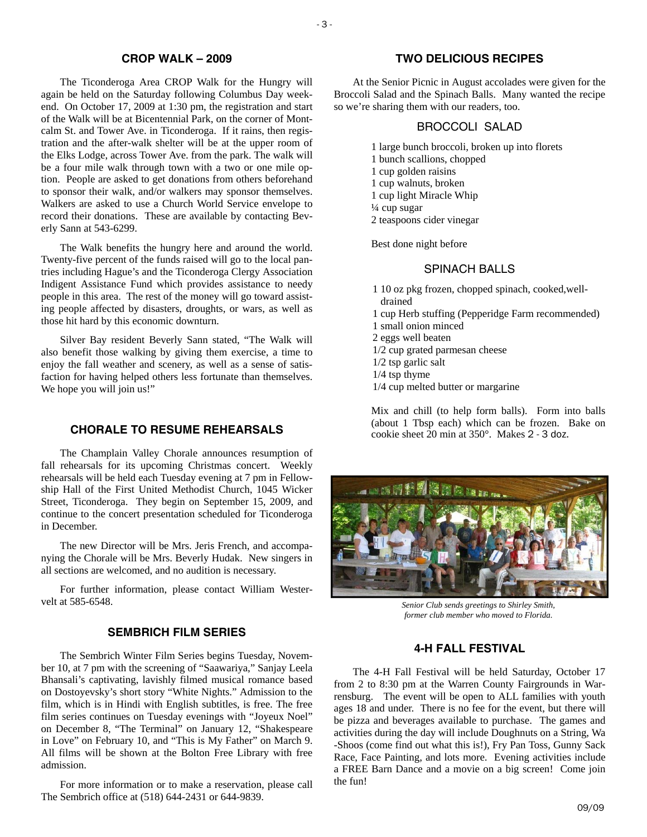#### **CROP WALK – 2009**

The Ticonderoga Area CROP Walk for the Hungry will again be held on the Saturday following Columbus Day weekend. On October 17, 2009 at 1:30 pm, the registration and start of the Walk will be at Bicentennial Park, on the corner of Montcalm St. and Tower Ave. in Ticonderoga. If it rains, then registration and the after-walk shelter will be at the upper room of the Elks Lodge, across Tower Ave. from the park. The walk will be a four mile walk through town with a two or one mile option. People are asked to get donations from others beforehand to sponsor their walk, and/or walkers may sponsor themselves. Walkers are asked to use a Church World Service envelope to record their donations. These are available by contacting Beverly Sann at 543-6299.

The Walk benefits the hungry here and around the world. Twenty-five percent of the funds raised will go to the local pantries including Hague's and the Ticonderoga Clergy Association Indigent Assistance Fund which provides assistance to needy people in this area. The rest of the money will go toward assisting people affected by disasters, droughts, or wars, as well as those hit hard by this economic downturn.

Silver Bay resident Beverly Sann stated, "The Walk will also benefit those walking by giving them exercise, a time to enjoy the fall weather and scenery, as well as a sense of satisfaction for having helped others less fortunate than themselves. We hope you will join us!"

## **CHORALE TO RESUME REHEARSALS**

The Champlain Valley Chorale announces resumption of fall rehearsals for its upcoming Christmas concert. Weekly rehearsals will be held each Tuesday evening at 7 pm in Fellowship Hall of the First United Methodist Church, 1045 Wicker Street, Ticonderoga. They begin on September 15, 2009, and continue to the concert presentation scheduled for Ticonderoga in December.

The new Director will be Mrs. Jeris French, and accompanying the Chorale will be Mrs. Beverly Hudak. New singers in all sections are welcomed, and no audition is necessary.

For further information, please contact William Westervelt at 585-6548.

#### **SEMBRICH FILM SERIES**

The Sembrich Winter Film Series begins Tuesday, November 10, at 7 pm with the screening of "Saawariya," Sanjay Leela Bhansali's captivating, lavishly filmed musical romance based on Dostoyevsky's short story "White Nights." Admission to the film, which is in Hindi with English subtitles, is free. The free film series continues on Tuesday evenings with "Joyeux Noel" on December 8, "The Terminal" on January 12, "Shakespeare in Love" on February 10, and "This is My Father" on March 9. All films will be shown at the Bolton Free Library with free admission.

For more information or to make a reservation, please call The Sembrich office at (518) 644-2431 or 644-9839.

## **TWO DELICIOUS RECIPES**

At the Senior Picnic in August accolades were given for the Broccoli Salad and the Spinach Balls. Many wanted the recipe so we're sharing them with our readers, too.

#### BROCCOLI SALAD

1 large bunch broccoli, broken up into florets 1 bunch scallions, chopped 1 cup golden raisins 1 cup walnuts, broken 1 cup light Miracle Whip ¼ cup sugar 2 teaspoons cider vinegar

Best done night before

## SPINACH BALLS

- 1 10 oz pkg frozen, chopped spinach, cooked,welldrained 1 cup Herb stuffing (Pepperidge Farm recommended)
- 1 small onion minced
- 2 eggs well beaten
- 1/2 cup grated parmesan cheese
- 1/2 tsp garlic salt
- 1/4 tsp thyme
- 1/4 cup melted butter or margarine

Mix and chill (to help form balls). Form into balls (about 1 Tbsp each) which can be frozen. Bake on cookie sheet 20 min at 350°. Makes 2 - 3 doz.



*Senior Club sends greetings to Shirley Smith, former club member who moved to Florida.* 

## **4-H FALL FESTIVAL**

The 4-H Fall Festival will be held Saturday, October 17 from 2 to 8:30 pm at the Warren County Fairgrounds in Warrensburg. The event will be open to ALL families with youth ages 18 and under. There is no fee for the event, but there will be pizza and beverages available to purchase. The games and activities during the day will include Doughnuts on a String, Wa -Shoos (come find out what this is!), Fry Pan Toss, Gunny Sack Race, Face Painting, and lots more. Evening activities include a FREE Barn Dance and a movie on a big screen! Come join the fun!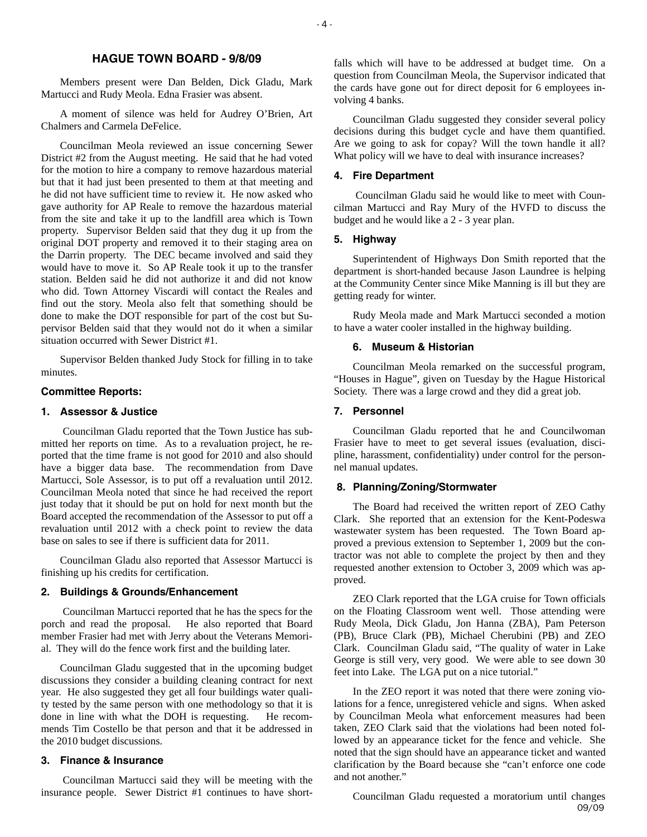## **HAGUE TOWN BOARD - 9/8/09**

Members present were Dan Belden, Dick Gladu, Mark Martucci and Rudy Meola. Edna Frasier was absent.

A moment of silence was held for Audrey O'Brien, Art Chalmers and Carmela DeFelice.

Councilman Meola reviewed an issue concerning Sewer District #2 from the August meeting. He said that he had voted for the motion to hire a company to remove hazardous material but that it had just been presented to them at that meeting and he did not have sufficient time to review it. He now asked who gave authority for AP Reale to remove the hazardous material from the site and take it up to the landfill area which is Town property. Supervisor Belden said that they dug it up from the original DOT property and removed it to their staging area on the Darrin property. The DEC became involved and said they would have to move it. So AP Reale took it up to the transfer station. Belden said he did not authorize it and did not know who did. Town Attorney Viscardi will contact the Reales and find out the story. Meola also felt that something should be done to make the DOT responsible for part of the cost but Supervisor Belden said that they would not do it when a similar situation occurred with Sewer District #1.

Supervisor Belden thanked Judy Stock for filling in to take minutes.

#### **Committee Reports:**

#### **1. Assessor & Justice**

 Councilman Gladu reported that the Town Justice has submitted her reports on time. As to a revaluation project, he reported that the time frame is not good for 2010 and also should have a bigger data base. The recommendation from Dave Martucci, Sole Assessor, is to put off a revaluation until 2012. Councilman Meola noted that since he had received the report just today that it should be put on hold for next month but the Board accepted the recommendation of the Assessor to put off a revaluation until 2012 with a check point to review the data base on sales to see if there is sufficient data for 2011.

Councilman Gladu also reported that Assessor Martucci is finishing up his credits for certification.

## **2. Buildings & Grounds/Enhancement**

 Councilman Martucci reported that he has the specs for the porch and read the proposal. He also reported that Board member Frasier had met with Jerry about the Veterans Memorial. They will do the fence work first and the building later.

Councilman Gladu suggested that in the upcoming budget discussions they consider a building cleaning contract for next year. He also suggested they get all four buildings water quality tested by the same person with one methodology so that it is done in line with what the DOH is requesting. He recommends Tim Costello be that person and that it be addressed in the 2010 budget discussions.

#### **3. Finance & Insurance**

 Councilman Martucci said they will be meeting with the insurance people. Sewer District #1 continues to have shortfalls which will have to be addressed at budget time. On a question from Councilman Meola, the Supervisor indicated that the cards have gone out for direct deposit for 6 employees involving 4 banks.

Councilman Gladu suggested they consider several policy decisions during this budget cycle and have them quantified. Are we going to ask for copay? Will the town handle it all? What policy will we have to deal with insurance increases?

#### **4. Fire Department**

 Councilman Gladu said he would like to meet with Councilman Martucci and Ray Mury of the HVFD to discuss the budget and he would like a 2 - 3 year plan.

#### **5. Highway**

Superintendent of Highways Don Smith reported that the department is short-handed because Jason Laundree is helping at the Community Center since Mike Manning is ill but they are getting ready for winter.

Rudy Meola made and Mark Martucci seconded a motion to have a water cooler installed in the highway building.

#### **6. Museum & Historian**

Councilman Meola remarked on the successful program, "Houses in Hague", given on Tuesday by the Hague Historical Society. There was a large crowd and they did a great job.

#### **7. Personnel**

Councilman Gladu reported that he and Councilwoman Frasier have to meet to get several issues (evaluation, discipline, harassment, confidentiality) under control for the personnel manual updates.

#### **8. Planning/Zoning/Stormwater**

The Board had received the written report of ZEO Cathy Clark. She reported that an extension for the Kent-Podeswa wastewater system has been requested. The Town Board approved a previous extension to September 1, 2009 but the contractor was not able to complete the project by then and they requested another extension to October 3, 2009 which was approved.

ZEO Clark reported that the LGA cruise for Town officials on the Floating Classroom went well. Those attending were Rudy Meola, Dick Gladu, Jon Hanna (ZBA), Pam Peterson (PB), Bruce Clark (PB), Michael Cherubini (PB) and ZEO Clark. Councilman Gladu said, "The quality of water in Lake George is still very, very good. We were able to see down 30 feet into Lake. The LGA put on a nice tutorial."

In the ZEO report it was noted that there were zoning violations for a fence, unregistered vehicle and signs. When asked by Councilman Meola what enforcement measures had been taken, ZEO Clark said that the violations had been noted followed by an appearance ticket for the fence and vehicle. She noted that the sign should have an appearance ticket and wanted clarification by the Board because she "can't enforce one code and not another"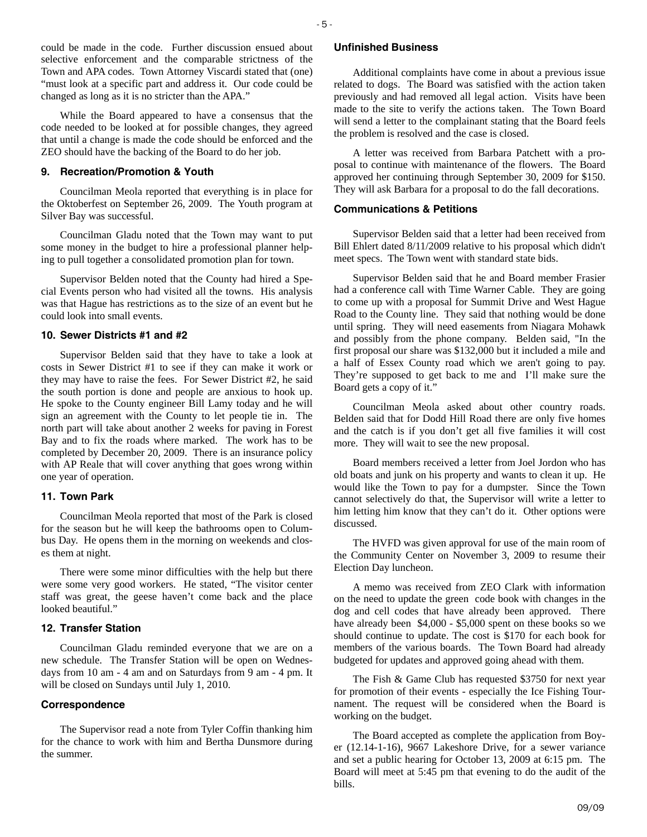could be made in the code. Further discussion ensued about selective enforcement and the comparable strictness of the Town and APA codes. Town Attorney Viscardi stated that (one) "must look at a specific part and address it. Our code could be changed as long as it is no stricter than the APA."

While the Board appeared to have a consensus that the code needed to be looked at for possible changes, they agreed that until a change is made the code should be enforced and the ZEO should have the backing of the Board to do her job.

#### **9. Recreation/Promotion & Youth**

Councilman Meola reported that everything is in place for the Oktoberfest on September 26, 2009. The Youth program at Silver Bay was successful.

Councilman Gladu noted that the Town may want to put some money in the budget to hire a professional planner helping to pull together a consolidated promotion plan for town.

Supervisor Belden noted that the County had hired a Special Events person who had visited all the towns. His analysis was that Hague has restrictions as to the size of an event but he could look into small events.

#### **10. Sewer Districts #1 and #2**

Supervisor Belden said that they have to take a look at costs in Sewer District #1 to see if they can make it work or they may have to raise the fees. For Sewer District #2, he said the south portion is done and people are anxious to hook up. He spoke to the County engineer Bill Lamy today and he will sign an agreement with the County to let people tie in. The north part will take about another 2 weeks for paving in Forest Bay and to fix the roads where marked. The work has to be completed by December 20, 2009. There is an insurance policy with AP Reale that will cover anything that goes wrong within one year of operation.

#### **11. Town Park**

Councilman Meola reported that most of the Park is closed for the season but he will keep the bathrooms open to Columbus Day. He opens them in the morning on weekends and closes them at night.

There were some minor difficulties with the help but there were some very good workers. He stated, "The visitor center staff was great, the geese haven't come back and the place looked beautiful."

#### **12. Transfer Station**

Councilman Gladu reminded everyone that we are on a new schedule. The Transfer Station will be open on Wednesdays from 10 am - 4 am and on Saturdays from 9 am - 4 pm. It will be closed on Sundays until July 1, 2010.

#### **Correspondence**

The Supervisor read a note from Tyler Coffin thanking him for the chance to work with him and Bertha Dunsmore during the summer.

#### **Unfinished Business**

Additional complaints have come in about a previous issue related to dogs. The Board was satisfied with the action taken previously and had removed all legal action. Visits have been made to the site to verify the actions taken. The Town Board will send a letter to the complainant stating that the Board feels the problem is resolved and the case is closed.

A letter was received from Barbara Patchett with a proposal to continue with maintenance of the flowers. The Board approved her continuing through September 30, 2009 for \$150. They will ask Barbara for a proposal to do the fall decorations.

#### **Communications & Petitions**

Supervisor Belden said that a letter had been received from Bill Ehlert dated 8/11/2009 relative to his proposal which didn't meet specs. The Town went with standard state bids.

Supervisor Belden said that he and Board member Frasier had a conference call with Time Warner Cable. They are going to come up with a proposal for Summit Drive and West Hague Road to the County line. They said that nothing would be done until spring. They will need easements from Niagara Mohawk and possibly from the phone company. Belden said, "In the first proposal our share was \$132,000 but it included a mile and a half of Essex County road which we aren't going to pay. They're supposed to get back to me and I'll make sure the Board gets a copy of it."

Councilman Meola asked about other country roads. Belden said that for Dodd Hill Road there are only five homes and the catch is if you don't get all five families it will cost more. They will wait to see the new proposal.

Board members received a letter from Joel Jordon who has old boats and junk on his property and wants to clean it up. He would like the Town to pay for a dumpster. Since the Town cannot selectively do that, the Supervisor will write a letter to him letting him know that they can't do it. Other options were discussed.

The HVFD was given approval for use of the main room of the Community Center on November 3, 2009 to resume their Election Day luncheon.

A memo was received from ZEO Clark with information on the need to update the green code book with changes in the dog and cell codes that have already been approved. There have already been \$4,000 - \$5,000 spent on these books so we should continue to update. The cost is \$170 for each book for members of the various boards. The Town Board had already budgeted for updates and approved going ahead with them.

The Fish & Game Club has requested \$3750 for next year for promotion of their events - especially the Ice Fishing Tournament. The request will be considered when the Board is working on the budget.

The Board accepted as complete the application from Boyer (12.14-1-16), 9667 Lakeshore Drive, for a sewer variance and set a public hearing for October 13, 2009 at 6:15 pm. The Board will meet at 5:45 pm that evening to do the audit of the bills.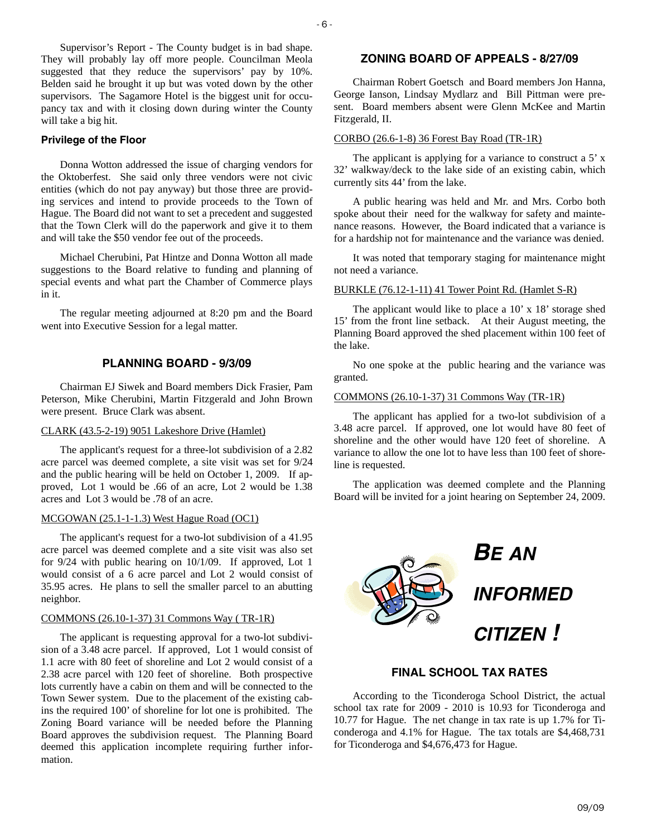Supervisor's Report - The County budget is in bad shape. They will probably lay off more people. Councilman Meola suggested that they reduce the supervisors' pay by 10%. Belden said he brought it up but was voted down by the other supervisors. The Sagamore Hotel is the biggest unit for occupancy tax and with it closing down during winter the County will take a big hit.

#### **Privilege of the Floor**

Donna Wotton addressed the issue of charging vendors for the Oktoberfest. She said only three vendors were not civic entities (which do not pay anyway) but those three are providing services and intend to provide proceeds to the Town of Hague. The Board did not want to set a precedent and suggested that the Town Clerk will do the paperwork and give it to them and will take the \$50 vendor fee out of the proceeds.

Michael Cherubini, Pat Hintze and Donna Wotton all made suggestions to the Board relative to funding and planning of special events and what part the Chamber of Commerce plays in it.

The regular meeting adjourned at 8:20 pm and the Board went into Executive Session for a legal matter.

## **PLANNING BOARD - 9/3/09**

Chairman EJ Siwek and Board members Dick Frasier, Pam Peterson, Mike Cherubini, Martin Fitzgerald and John Brown were present. Bruce Clark was absent.

#### CLARK (43.5-2-19) 9051 Lakeshore Drive (Hamlet)

The applicant's request for a three-lot subdivision of a 2.82 acre parcel was deemed complete, a site visit was set for 9/24 and the public hearing will be held on October 1, 2009. If approved, Lot 1 would be .66 of an acre, Lot 2 would be 1.38 acres and Lot 3 would be .78 of an acre.

#### MCGOWAN (25.1-1-1.3) West Hague Road (OC1)

The applicant's request for a two-lot subdivision of a 41.95 acre parcel was deemed complete and a site visit was also set for 9/24 with public hearing on 10/1/09. If approved, Lot 1 would consist of a 6 acre parcel and Lot 2 would consist of 35.95 acres. He plans to sell the smaller parcel to an abutting neighbor.

#### COMMONS (26.10-1-37) 31 Commons Way ( TR-1R)

The applicant is requesting approval for a two-lot subdivision of a 3.48 acre parcel. If approved, Lot 1 would consist of 1.1 acre with 80 feet of shoreline and Lot 2 would consist of a 2.38 acre parcel with 120 feet of shoreline. Both prospective lots currently have a cabin on them and will be connected to the Town Sewer system. Due to the placement of the existing cabins the required 100' of shoreline for lot one is prohibited. The Zoning Board variance will be needed before the Planning Board approves the subdivision request. The Planning Board deemed this application incomplete requiring further information.

## **ZONING BOARD OF APPEALS - 8/27/09**

Chairman Robert Goetsch and Board members Jon Hanna, George Ianson, Lindsay Mydlarz and Bill Pittman were present. Board members absent were Glenn McKee and Martin Fitzgerald, II.

#### CORBO (26.6-1-8) 36 Forest Bay Road (TR-1R)

The applicant is applying for a variance to construct a 5' x 32' walkway/deck to the lake side of an existing cabin, which currently sits 44' from the lake.

A public hearing was held and Mr. and Mrs. Corbo both spoke about their need for the walkway for safety and maintenance reasons. However, the Board indicated that a variance is for a hardship not for maintenance and the variance was denied.

It was noted that temporary staging for maintenance might not need a variance.

#### BURKLE (76.12-1-11) 41 Tower Point Rd. (Hamlet S-R)

The applicant would like to place a 10' x 18' storage shed 15' from the front line setback. At their August meeting, the Planning Board approved the shed placement within 100 feet of the lake.

No one spoke at the public hearing and the variance was granted.

#### COMMONS (26.10-1-37) 31 Commons Way (TR-1R)

The applicant has applied for a two-lot subdivision of a 3.48 acre parcel. If approved, one lot would have 80 feet of shoreline and the other would have 120 feet of shoreline. A variance to allow the one lot to have less than 100 feet of shoreline is requested.

The application was deemed complete and the Planning Board will be invited for a joint hearing on September 24, 2009.



## **FINAL SCHOOL TAX RATES**

According to the Ticonderoga School District, the actual school tax rate for 2009 - 2010 is 10.93 for Ticonderoga and 10.77 for Hague. The net change in tax rate is up 1.7% for Ticonderoga and 4.1% for Hague. The tax totals are \$4,468,731 for Ticonderoga and \$4,676,473 for Hague.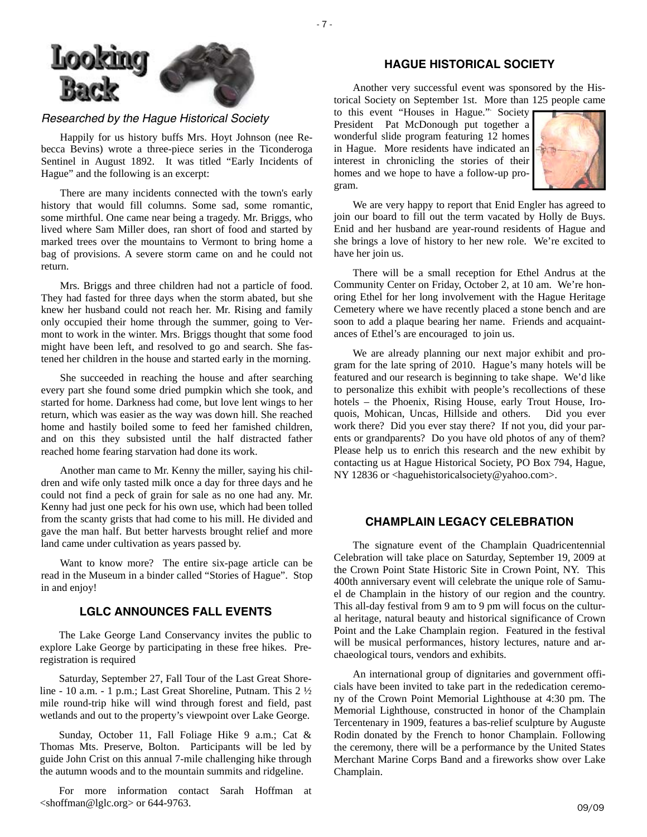

## *Researched by the Hague Historical Society*

Happily for us history buffs Mrs. Hoyt Johnson (nee Rebecca Bevins) wrote a three-piece series in the Ticonderoga Sentinel in August 1892. It was titled "Early Incidents of Hague" and the following is an excerpt:

There are many incidents connected with the town's early history that would fill columns. Some sad, some romantic, some mirthful. One came near being a tragedy. Mr. Briggs, who lived where Sam Miller does, ran short of food and started by marked trees over the mountains to Vermont to bring home a bag of provisions. A severe storm came on and he could not return.

Mrs. Briggs and three children had not a particle of food. They had fasted for three days when the storm abated, but she knew her husband could not reach her. Mr. Rising and family only occupied their home through the summer, going to Vermont to work in the winter. Mrs. Briggs thought that some food might have been left, and resolved to go and search. She fastened her children in the house and started early in the morning.

She succeeded in reaching the house and after searching every part she found some dried pumpkin which she took, and started for home. Darkness had come, but love lent wings to her return, which was easier as the way was down hill. She reached home and hastily boiled some to feed her famished children, and on this they subsisted until the half distracted father reached home fearing starvation had done its work.

Another man came to Mr. Kenny the miller, saying his children and wife only tasted milk once a day for three days and he could not find a peck of grain for sale as no one had any. Mr. Kenny had just one peck for his own use, which had been tolled from the scanty grists that had come to his mill. He divided and gave the man half. But better harvests brought relief and more land came under cultivation as years passed by.

Want to know more? The entire six-page article can be read in the Museum in a binder called "Stories of Hague". Stop in and enjoy!

## **LGLC ANNOUNCES FALL EVENTS**

The Lake George Land Conservancy invites the public to explore Lake George by participating in these free hikes. Preregistration is required

Saturday, September 27, Fall Tour of the Last Great Shoreline - 10 a.m. - 1 p.m.; Last Great Shoreline, Putnam. This 2 ½ mile round-trip hike will wind through forest and field, past wetlands and out to the property's viewpoint over Lake George.

Sunday, October 11, Fall Foliage Hike 9 a.m.; Cat & Thomas Mts. Preserve, Bolton. Participants will be led by guide John Crist on this annual 7-mile challenging hike through the autumn woods and to the mountain summits and ridgeline.

 09/09 <shoffman@lglc.org> or 644-9763. For more information contact Sarah Hoffman at

## **HAGUE HISTORICAL SOCIETY**

Another very successful event was sponsored by the Historical Society on September 1st. More than 125 people came

to this event "Houses in Hague.". Society President Pat McDonough put together a wonderful slide program featuring 12 homes in Hague. More residents have indicated an interest in chronicling the stories of their homes and we hope to have a follow-up program.



We are very happy to report that Enid Engler has agreed to join our board to fill out the term vacated by Holly de Buys. Enid and her husband are year-round residents of Hague and she brings a love of history to her new role. We're excited to have her join us.

There will be a small reception for Ethel Andrus at the Community Center on Friday, October 2, at 10 am. We're honoring Ethel for her long involvement with the Hague Heritage Cemetery where we have recently placed a stone bench and are soon to add a plaque bearing her name. Friends and acquaintances of Ethel's are encouraged to join us.

We are already planning our next major exhibit and program for the late spring of 2010. Hague's many hotels will be featured and our research is beginning to take shape. We'd like to personalize this exhibit with people's recollections of these hotels – the Phoenix, Rising House, early Trout House, Iroquois, Mohican, Uncas, Hillside and others. Did you ever work there? Did you ever stay there? If not you, did your parents or grandparents? Do you have old photos of any of them? Please help us to enrich this research and the new exhibit by contacting us at Hague Historical Society, PO Box 794, Hague, NY 12836 or <haguehistoricalsociety@yahoo.com>.

## **CHAMPLAIN LEGACY CELEBRATION**

The signature event of the Champlain Quadricentennial Celebration will take place on Saturday, September 19, 2009 at the Crown Point State Historic Site in Crown Point, NY. This 400th anniversary event will celebrate the unique role of Samuel de Champlain in the history of our region and the country. This all-day festival from 9 am to 9 pm will focus on the cultural heritage, natural beauty and historical significance of Crown Point and the Lake Champlain region. Featured in the festival will be musical performances, history lectures, nature and archaeological tours, vendors and exhibits.

An international group of dignitaries and government officials have been invited to take part in the rededication ceremony of the Crown Point Memorial Lighthouse at 4:30 pm. The Memorial Lighthouse, constructed in honor of the Champlain Tercentenary in 1909, features a bas-relief sculpture by Auguste Rodin donated by the French to honor Champlain. Following the ceremony, there will be a performance by the United States Merchant Marine Corps Band and a fireworks show over Lake Champlain.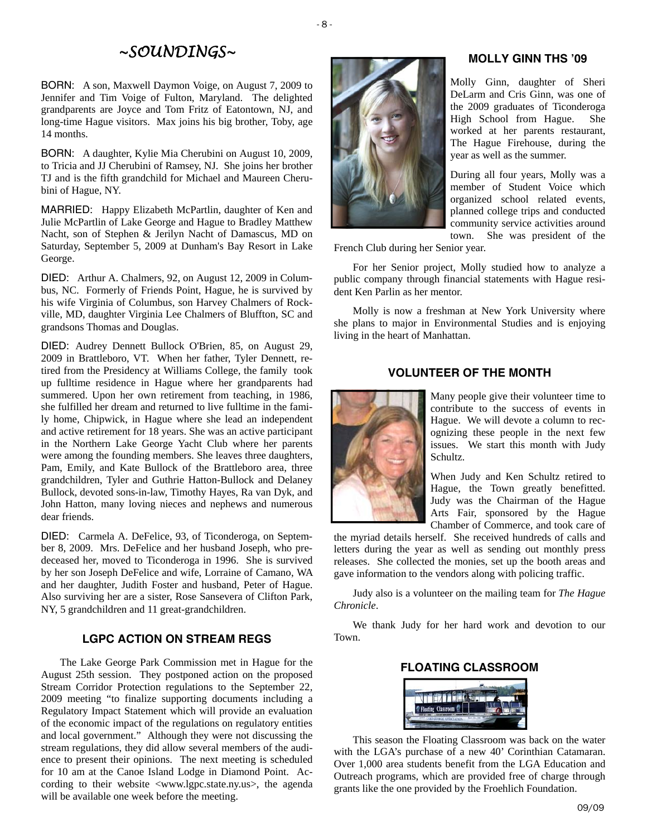# *~SOUNDINGS~*

BORN: A son, Maxwell Daymon Voige, on August 7, 2009 to Jennifer and Tim Voige of Fulton, Maryland. The delighted grandparents are Joyce and Tom Fritz of Eatontown, NJ, and long-time Hague visitors. Max joins his big brother, Toby, age 14 months.

BORN: A daughter, Kylie Mia Cherubini on August 10, 2009, to Tricia and JJ Cherubini of Ramsey, NJ. She joins her brother TJ and is the fifth grandchild for Michael and Maureen Cherubini of Hague, NY.

MARRIED: Happy Elizabeth McPartlin, daughter of Ken and Julie McPartlin of Lake George and Hague to Bradley Matthew Nacht, son of Stephen & Jerilyn Nacht of Damascus, MD on Saturday, September 5, 2009 at Dunham's Bay Resort in Lake George.

DIED: Arthur A. Chalmers, 92, on August 12, 2009 in Columbus, NC. Formerly of Friends Point, Hague, he is survived by his wife Virginia of Columbus, son Harvey Chalmers of Rockville, MD, daughter Virginia Lee Chalmers of Bluffton, SC and grandsons Thomas and Douglas.

DIED: Audrey Dennett Bullock O'Brien, 85, on August 29, 2009 in Brattleboro, VT. When her father, Tyler Dennett, retired from the Presidency at Williams College, the family took up fulltime residence in Hague where her grandparents had summered. Upon her own retirement from teaching, in 1986, she fulfilled her dream and returned to live fulltime in the family home, Chipwick, in Hague where she lead an independent and active retirement for 18 years. She was an active participant in the Northern Lake George Yacht Club where her parents were among the founding members. She leaves three daughters, Pam, Emily, and Kate Bullock of the Brattleboro area, three grandchildren, Tyler and Guthrie Hatton-Bullock and Delaney Bullock, devoted sons-in-law, Timothy Hayes, Ra van Dyk, and John Hatton, many loving nieces and nephews and numerous dear friends.

DIED: Carmela A. DeFelice, 93, of Ticonderoga, on September 8, 2009. Mrs. DeFelice and her husband Joseph, who predeceased her, moved to Ticonderoga in 1996. She is survived by her son Joseph DeFelice and wife, Lorraine of Camano, WA and her daughter, Judith Foster and husband, Peter of Hague. Also surviving her are a sister, Rose Sansevera of Clifton Park, NY, 5 grandchildren and 11 great-grandchildren.

## **LGPC ACTION ON STREAM REGS**

The Lake George Park Commission met in Hague for the August 25th session. They postponed action on the proposed Stream Corridor Protection regulations to the September 22, 2009 meeting "to finalize supporting documents including a Regulatory Impact Statement which will provide an evaluation of the economic impact of the regulations on regulatory entities and local government." Although they were not discussing the stream regulations, they did allow several members of the audience to present their opinions. The next meeting is scheduled for 10 am at the Canoe Island Lodge in Diamond Point. According to their website <www.lgpc.state.ny.us>, the agenda will be available one week before the meeting.



## **MOLLY GINN THS '09**

Molly Ginn, daughter of Sheri DeLarm and Cris Ginn, was one of the 2009 graduates of Ticonderoga High School from Hague. She worked at her parents restaurant, The Hague Firehouse, during the year as well as the summer.

During all four years, Molly was a member of Student Voice which organized school related events, planned college trips and conducted community service activities around

town. She was president of the

French Club during her Senior year.

For her Senior project, Molly studied how to analyze a public company through financial statements with Hague resident Ken Parlin as her mentor.

Molly is now a freshman at New York University where she plans to major in Environmental Studies and is enjoying living in the heart of Manhattan.

## **VOLUNTEER OF THE MONTH**



Many people give their volunteer time to contribute to the success of events in Hague. We will devote a column to recognizing these people in the next few issues. We start this month with Judy Schultz.

When Judy and Ken Schultz retired to Hague, the Town greatly benefitted. Judy was the Chairman of the Hague Arts Fair, sponsored by the Hague Chamber of Commerce, and took care of

the myriad details herself. She received hundreds of calls and letters during the year as well as sending out monthly press releases. She collected the monies, set up the booth areas and gave information to the vendors along with policing traffic.

Judy also is a volunteer on the mailing team for *The Hague Chronicle*.

We thank Judy for her hard work and devotion to our Town.

#### **FLOATING CLASSROOM**



This season the Floating Classroom was back on the water with the LGA's purchase of a new 40' Corinthian Catamaran. Over 1,000 area students benefit from the LGA Education and Outreach programs, which are provided free of charge through grants like the one provided by the Froehlich Foundation.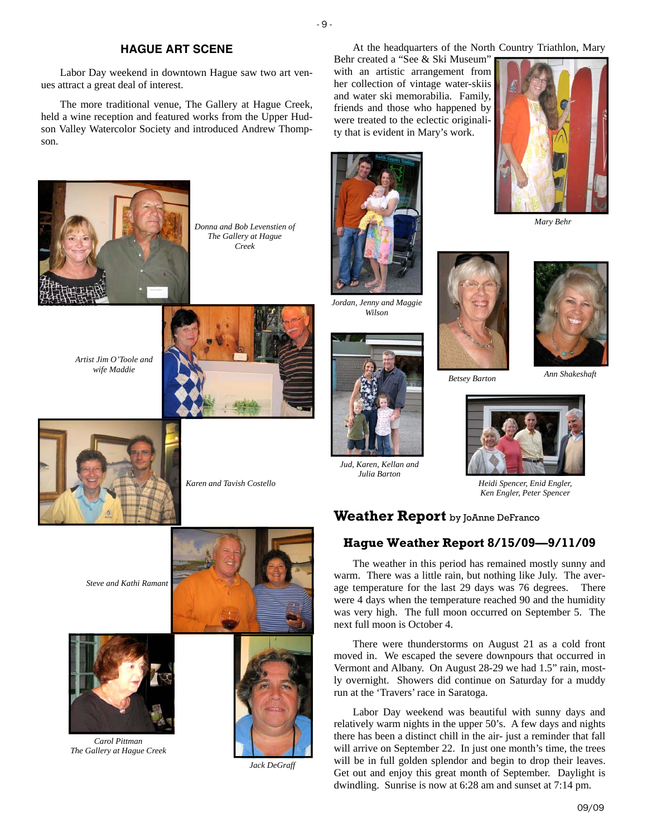#### **HAGUE ART SCENE**

- 9 -

Labor Day weekend in downtown Hague saw two art venues attract a great deal of interest.

The more traditional venue, The Gallery at Hague Creek, held a wine reception and featured works from the Upper Hudson Valley Watercolor Society and introduced Andrew Thompson.



*Donna and Bob Levenstien of The Gallery at Hague Creek*

*Artist Jim O'Toole and wife Maddie*





 *Karen and Tavish Costello* 

*Steve and Kathi Ramant* 



*Carol Pittman The Gallery at Hague Creek* 



*Jack DeGraff* 

At the headquarters of the North Country Triathlon, Mary

Behr created a "See & Ski Museum" with an artistic arrangement from her collection of vintage water-skiis and water ski memorabilia. Family, friends and those who happened by were treated to the eclectic originality that is evident in Mary's work.



*Jordan, Jenny and Maggie Wilson*



*Jud, Karen, Kellan and Julia Barton* 



*Betsey Barton* 



*Mary Behr* 

*Ann Shakeshaft* 



*Heidi Spencer, Enid Engler, Ken Engler, Peter Spencer* 

## **Weather Report** by JoAnne DeFranco

## **Hague Weather Report 8/15/09—9/11/09**

The weather in this period has remained mostly sunny and warm. There was a little rain, but nothing like July. The average temperature for the last 29 days was 76 degrees. There were 4 days when the temperature reached 90 and the humidity was very high. The full moon occurred on September 5. The next full moon is October 4.

There were thunderstorms on August 21 as a cold front moved in. We escaped the severe downpours that occurred in Vermont and Albany. On August 28-29 we had 1.5" rain, mostly overnight. Showers did continue on Saturday for a muddy run at the 'Travers' race in Saratoga.

Labor Day weekend was beautiful with sunny days and relatively warm nights in the upper 50's. A few days and nights there has been a distinct chill in the air- just a reminder that fall will arrive on September 22. In just one month's time, the trees will be in full golden splendor and begin to drop their leaves. Get out and enjoy this great month of September. Daylight is dwindling. Sunrise is now at 6:28 am and sunset at 7:14 pm.